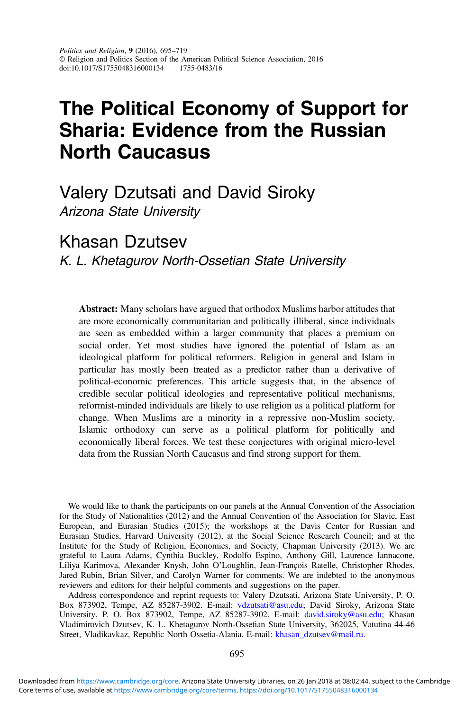# The Political Economy of Support for Sharia: Evidence from the Russian North Caucasus

Valery Dzutsati and David Siroky Arizona State University

Khasan Dzutsev

K. L. Khetagurov North-Ossetian State University

Abstract: Many scholars have argued that orthodox Muslims harbor attitudes that are more economically communitarian and politically illiberal, since individuals are seen as embedded within a larger community that places a premium on social order. Yet most studies have ignored the potential of Islam as an ideological platform for political reformers. Religion in general and Islam in particular has mostly been treated as a predictor rather than a derivative of political-economic preferences. This article suggests that, in the absence of credible secular political ideologies and representative political mechanisms, reformist-minded individuals are likely to use religion as a political platform for change. When Muslims are a minority in a repressive non-Muslim society, Islamic orthodoxy can serve as a political platform for politically and economically liberal forces. We test these conjectures with original micro-level data from the Russian North Caucasus and find strong support for them.

We would like to thank the participants on our panels at the Annual Convention of the Association for the Study of Nationalities (2012) and the Annual Convention of the Association for Slavic, East European, and Eurasian Studies (2015); the workshops at the Davis Center for Russian and Eurasian Studies, Harvard University (2012), at the Social Science Research Council; and at the Institute for the Study of Religion, Economics, and Society, Chapman University (2013). We are grateful to Laura Adams, Cynthia Buckley, Rodolfo Espino, Anthony Gill, Laurence Iannacone, Liliya Karimova, Alexander Knysh, John O'Loughlin, Jean-François Ratelle, Christopher Rhodes, Jared Rubin, Brian Silver, and Carolyn Warner for comments. We are indebted to the anonymous reviewers and editors for their helpful comments and suggestions on the paper.

Address correspondence and reprint requests to: Valery Dzutsati, Arizona State University, P. O. Box 873902, Tempe, AZ 85287-3902. E-mail: [vdzutsati@asu.edu](mailto:vdzutsati@asu.edu); David Siroky, Arizona State University, P. O. Box 873902, Tempe, AZ 85287-3902. E-mail: [david.siroky@asu.edu;](mailto:david.siroky@asu.edu) Khasan Vladimirovich Dzutsev, K. L. Khetagurov North-Ossetian State University, 362025, Vatutina 44-46 Street, Vladikavkaz, Republic North Ossetia-Alania. E-mail: [khasan\\_dzutsev@mail.ru](mailto:khasan_dzutsev@mail.ru).

Core terms of use, available at [https://www.cambridge.org/core/terms.](https://www.cambridge.org/core/terms) <https://doi.org/10.1017/S1755048316000134> Downloaded from [https://www.cambridge.org/core.](https://www.cambridge.org/core) Arizona State University Libraries, on 26 Jan 2018 at 08:02:44, subject to the Cambridge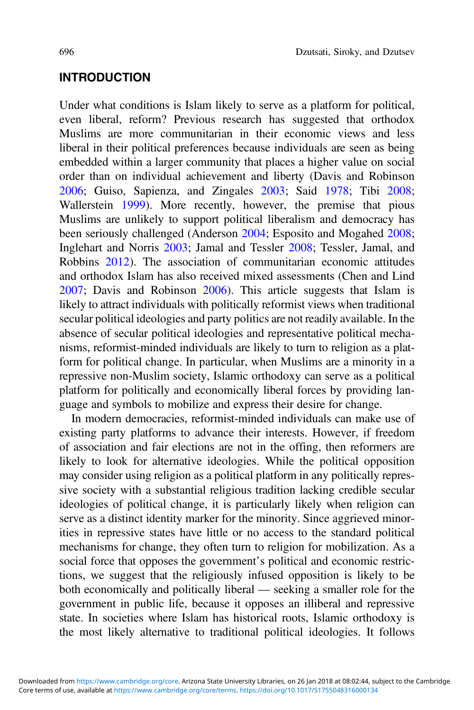## **INTRODUCTION**

Under what conditions is Islam likely to serve as a platform for political, even liberal, reform? Previous research has suggested that orthodox Muslims are more communitarian in their economic views and less liberal in their political preferences because individuals are seen as being embedded within a larger community that places a higher value on social order than on individual achievement and liberty (Davis and Robinson [2006](#page-20-0); Guiso, Sapienza, and Zingales [2003;](#page-21-0) Said [1978](#page-23-0); Tibi [2008](#page-23-0); Wallerstein [1999\)](#page-24-0). More recently, however, the premise that pious Muslims are unlikely to support political liberalism and democracy has been seriously challenged (Anderson [2004](#page-20-0); Esposito and Mogahed [2008](#page-21-0); Inglehart and Norris [2003](#page-22-0); Jamal and Tessler [2008;](#page-22-0) Tessler, Jamal, and Robbins [2012](#page-23-0)). The association of communitarian economic attitudes and orthodox Islam has also received mixed assessments (Chen and Lind [2007](#page-20-0); Davis and Robinson [2006\)](#page-20-0). This article suggests that Islam is likely to attract individuals with politically reformist views when traditional secular political ideologies and party politics are not readily available. In the absence of secular political ideologies and representative political mechanisms, reformist-minded individuals are likely to turn to religion as a platform for political change. In particular, when Muslims are a minority in a repressive non-Muslim society, Islamic orthodoxy can serve as a political platform for politically and economically liberal forces by providing language and symbols to mobilize and express their desire for change.

In modern democracies, reformist-minded individuals can make use of existing party platforms to advance their interests. However, if freedom of association and fair elections are not in the offing, then reformers are likely to look for alternative ideologies. While the political opposition may consider using religion as a political platform in any politically repressive society with a substantial religious tradition lacking credible secular ideologies of political change, it is particularly likely when religion can serve as a distinct identity marker for the minority. Since aggrieved minorities in repressive states have little or no access to the standard political mechanisms for change, they often turn to religion for mobilization. As a social force that opposes the government's political and economic restrictions, we suggest that the religiously infused opposition is likely to be both economically and politically liberal — seeking a smaller role for the government in public life, because it opposes an illiberal and repressive state. In societies where Islam has historical roots, Islamic orthodoxy is the most likely alternative to traditional political ideologies. It follows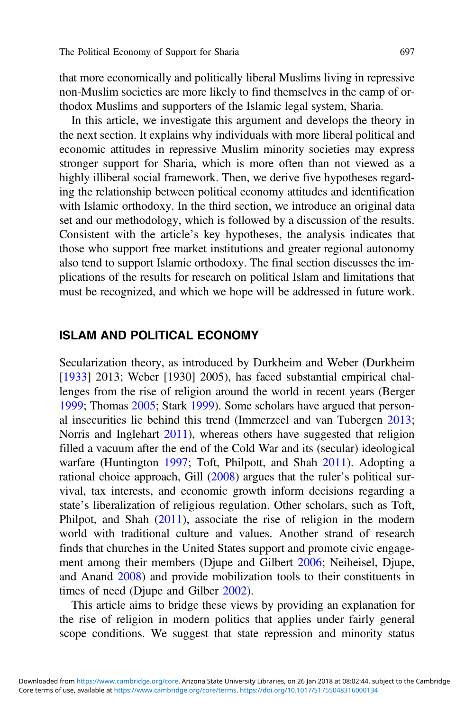that more economically and politically liberal Muslims living in repressive non-Muslim societies are more likely to find themselves in the camp of orthodox Muslims and supporters of the Islamic legal system, Sharia.

In this article, we investigate this argument and develops the theory in the next section. It explains why individuals with more liberal political and economic attitudes in repressive Muslim minority societies may express stronger support for Sharia, which is more often than not viewed as a highly illiberal social framework. Then, we derive five hypotheses regarding the relationship between political economy attitudes and identification with Islamic orthodoxy. In the third section, we introduce an original data set and our methodology, which is followed by a discussion of the results. Consistent with the article's key hypotheses, the analysis indicates that those who support free market institutions and greater regional autonomy also tend to support Islamic orthodoxy. The final section discusses the implications of the results for research on political Islam and limitations that must be recognized, and which we hope will be addressed in future work.

#### ISLAM AND POLITICAL ECONOMY

Secularization theory, as introduced by Durkheim and Weber (Durkheim [[1933\]](#page-21-0) 2013; Weber [1930] 2005), has faced substantial empirical challenges from the rise of religion around the world in recent years (Berger [1999](#page-20-0); Thomas [2005;](#page-23-0) Stark [1999](#page-23-0)). Some scholars have argued that personal insecurities lie behind this trend (Immerzeel and van Tubergen [2013](#page-22-0); Norris and Inglehart [2011](#page-22-0)), whereas others have suggested that religion filled a vacuum after the end of the Cold War and its (secular) ideological warfare (Huntington [1997](#page-21-0); Toft, Philpott, and Shah [2011](#page-23-0)). Adopting a rational choice approach, Gill [\(2008](#page-21-0)) argues that the ruler's political survival, tax interests, and economic growth inform decisions regarding a state's liberalization of religious regulation. Other scholars, such as Toft, Philpot, and Shah [\(2011](#page-23-0)), associate the rise of religion in the modern world with traditional culture and values. Another strand of research finds that churches in the United States support and promote civic engagement among their members (Djupe and Gilbert [2006](#page-21-0); Neiheisel, Djupe, and Anand [2008](#page-22-0)) and provide mobilization tools to their constituents in times of need (Djupe and Gilber [2002\)](#page-21-0).

This article aims to bridge these views by providing an explanation for the rise of religion in modern politics that applies under fairly general scope conditions. We suggest that state repression and minority status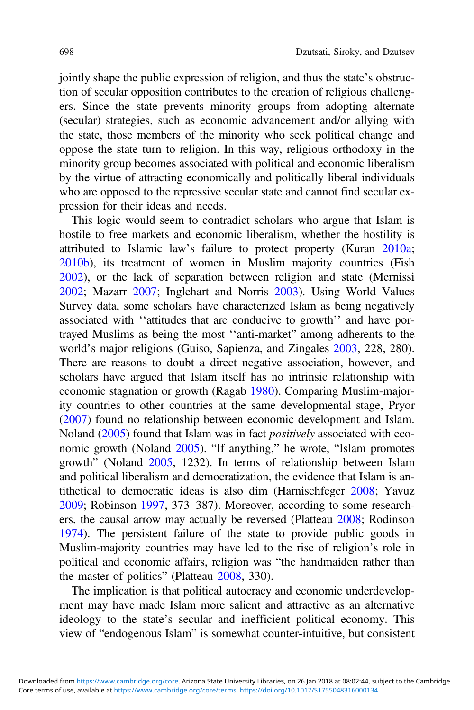jointly shape the public expression of religion, and thus the state's obstruction of secular opposition contributes to the creation of religious challengers. Since the state prevents minority groups from adopting alternate (secular) strategies, such as economic advancement and/or allying with the state, those members of the minority who seek political change and oppose the state turn to religion. In this way, religious orthodoxy in the minority group becomes associated with political and economic liberalism by the virtue of attracting economically and politically liberal individuals who are opposed to the repressive secular state and cannot find secular expression for their ideas and needs.

This logic would seem to contradict scholars who argue that Islam is hostile to free markets and economic liberalism, whether the hostility is attributed to Islamic law's failure to protect property (Kuran [2010a](#page-22-0); [2010b\)](#page-22-0), its treatment of women in Muslim majority countries (Fish [2002](#page-21-0)), or the lack of separation between religion and state (Mernissi [2002](#page-22-0); Mazarr [2007;](#page-22-0) Inglehart and Norris [2003](#page-22-0)). Using World Values Survey data, some scholars have characterized Islam as being negatively associated with ''attitudes that are conducive to growth'' and have portrayed Muslims as being the most ''anti-market" among adherents to the world's major religions (Guiso, Sapienza, and Zingales [2003,](#page-21-0) 228, 280). There are reasons to doubt a direct negative association, however, and scholars have argued that Islam itself has no intrinsic relationship with economic stagnation or growth (Ragab [1980\)](#page-23-0). Comparing Muslim-majority countries to other countries at the same developmental stage, Pryor ([2007\)](#page-23-0) found no relationship between economic development and Islam. Noland ([2005\)](#page-22-0) found that Islam was in fact positively associated with economic growth (Noland [2005](#page-22-0)). "If anything," he wrote, "Islam promotes growth" (Noland [2005](#page-22-0), 1232). In terms of relationship between Islam and political liberalism and democratization, the evidence that Islam is antithetical to democratic ideas is also dim (Harnischfeger [2008;](#page-21-0) Yavuz [2009](#page-24-0); Robinson [1997](#page-23-0), 373–387). Moreover, according to some researchers, the causal arrow may actually be reversed (Platteau [2008](#page-23-0); Rodinson [1974](#page-23-0)). The persistent failure of the state to provide public goods in Muslim-majority countries may have led to the rise of religion's role in political and economic affairs, religion was "the handmaiden rather than the master of politics" (Platteau [2008](#page-23-0), 330).

The implication is that political autocracy and economic underdevelopment may have made Islam more salient and attractive as an alternative ideology to the state's secular and inefficient political economy. This view of "endogenous Islam" is somewhat counter-intuitive, but consistent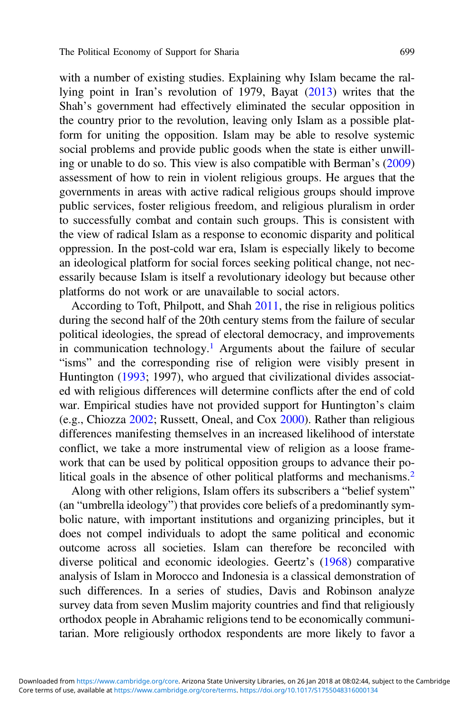with a number of existing studies. Explaining why Islam became the rallying point in Iran's revolution of 1979, Bayat [\(2013](#page-20-0)) writes that the Shah's government had effectively eliminated the secular opposition in the country prior to the revolution, leaving only Islam as a possible platform for uniting the opposition. Islam may be able to resolve systemic social problems and provide public goods when the state is either unwilling or unable to do so. This view is also compatible with Berman's [\(2009](#page-20-0)) assessment of how to rein in violent religious groups. He argues that the governments in areas with active radical religious groups should improve public services, foster religious freedom, and religious pluralism in order to successfully combat and contain such groups. This is consistent with the view of radical Islam as a response to economic disparity and political oppression. In the post-cold war era, Islam is especially likely to become an ideological platform for social forces seeking political change, not necessarily because Islam is itself a revolutionary ideology but because other platforms do not work or are unavailable to social actors.

According to Toft, Philpott, and Shah [2011](#page-23-0), the rise in religious politics during the second half of the 20th century stems from the failure of secular political ideologies, the spread of electoral democracy, and improvements in communication technology.<sup>[1](#page-18-0)</sup> Arguments about the failure of secular "isms" and the corresponding rise of religion were visibly present in Huntington ([1993;](#page-21-0) 1997), who argued that civilizational divides associated with religious differences will determine conflicts after the end of cold war. Empirical studies have not provided support for Huntington's claim (e.g., Chiozza [2002;](#page-20-0) Russett, Oneal, and Cox [2000](#page-23-0)). Rather than religious differences manifesting themselves in an increased likelihood of interstate conflict, we take a more instrumental view of religion as a loose framework that can be used by political opposition groups to advance their po-litical goals in the absence of other political platforms and mechanisms.<sup>[2](#page-18-0)</sup>

Along with other religions, Islam offers its subscribers a "belief system" (an "umbrella ideology") that provides core beliefs of a predominantly symbolic nature, with important institutions and organizing principles, but it does not compel individuals to adopt the same political and economic outcome across all societies. Islam can therefore be reconciled with diverse political and economic ideologies. Geertz's ([1968\)](#page-21-0) comparative analysis of Islam in Morocco and Indonesia is a classical demonstration of such differences. In a series of studies, Davis and Robinson analyze survey data from seven Muslim majority countries and find that religiously orthodox people in Abrahamic religions tend to be economically communitarian. More religiously orthodox respondents are more likely to favor a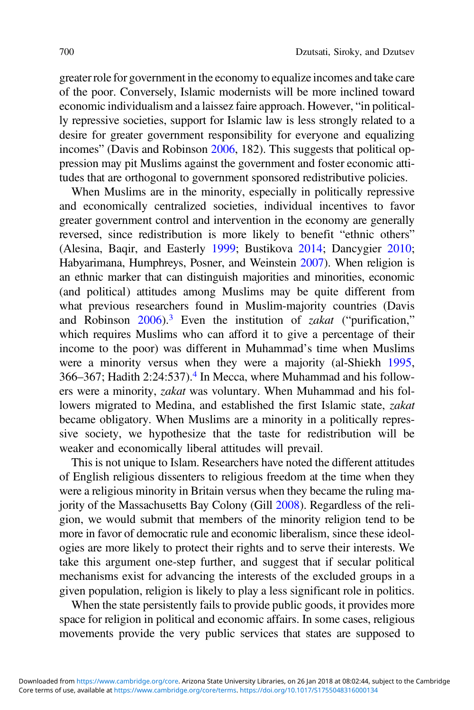greater role for government in the economy to equalize incomes and take care of the poor. Conversely, Islamic modernists will be more inclined toward economic individualism and a laissez faire approach. However, "in politically repressive societies, support for Islamic law is less strongly related to a desire for greater government responsibility for everyone and equalizing incomes" (Davis and Robinson [2006](#page-20-0), 182). This suggests that political oppression may pit Muslims against the government and foster economic attitudes that are orthogonal to government sponsored redistributive policies.

When Muslims are in the minority, especially in politically repressive and economically centralized societies, individual incentives to favor greater government control and intervention in the economy are generally reversed, since redistribution is more likely to benefit "ethnic others" (Alesina, Baqir, and Easterly [1999;](#page-20-0) Bustikova [2014](#page-20-0); Dancygier [2010](#page-20-0); Habyarimana, Humphreys, Posner, and Weinstein [2007](#page-21-0)). When religion is an ethnic marker that can distinguish majorities and minorities, economic (and political) attitudes among Muslims may be quite different from what previous researchers found in Muslim-majority countries (Davis and Robinson  $2006$ .<sup>[3](#page-18-0)</sup> Even the institution of *zakat* ("purification," which requires Muslims who can afford it to give a percentage of their income to the poor) was different in Muhammad's time when Muslims were a minority versus when they were a majority (al-Shiekh [1995](#page-20-0), 366–367; Hadith 2:24:537).[4](#page-18-0) In Mecca, where Muhammad and his followers were a minority, zakat was voluntary. When Muhammad and his followers migrated to Medina, and established the first Islamic state, *zakat* became obligatory. When Muslims are a minority in a politically repressive society, we hypothesize that the taste for redistribution will be weaker and economically liberal attitudes will prevail.

This is not unique to Islam. Researchers have noted the different attitudes of English religious dissenters to religious freedom at the time when they were a religious minority in Britain versus when they became the ruling majority of the Massachusetts Bay Colony (Gill [2008](#page-21-0)). Regardless of the religion, we would submit that members of the minority religion tend to be more in favor of democratic rule and economic liberalism, since these ideologies are more likely to protect their rights and to serve their interests. We take this argument one-step further, and suggest that if secular political mechanisms exist for advancing the interests of the excluded groups in a given population, religion is likely to play a less significant role in politics.

When the state persistently fails to provide public goods, it provides more space for religion in political and economic affairs. In some cases, religious movements provide the very public services that states are supposed to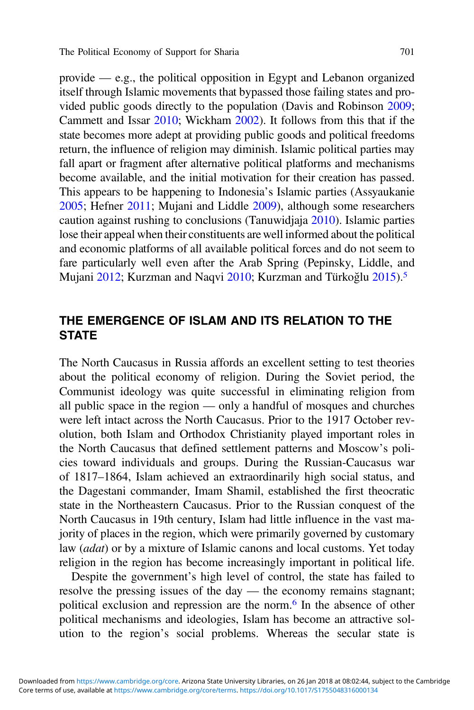provide — e.g., the political opposition in Egypt and Lebanon organized itself through Islamic movements that bypassed those failing states and provided public goods directly to the population (Davis and Robinson [2009](#page-20-0); Cammett and Issar [2010](#page-20-0); Wickham [2002](#page-24-0)). It follows from this that if the state becomes more adept at providing public goods and political freedoms return, the influence of religion may diminish. Islamic political parties may fall apart or fragment after alternative political platforms and mechanisms become available, and the initial motivation for their creation has passed. This appears to be happening to Indonesia's Islamic parties (Assyaukanie [2005;](#page-20-0) Hefner [2011;](#page-21-0) Mujani and Liddle [2009](#page-22-0)), although some researchers caution against rushing to conclusions (Tanuwidjaja [2010\)](#page-23-0). Islamic parties lose their appeal when their constituents are well informed about the political and economic platforms of all available political forces and do not seem to fare particularly well even after the Arab Spring (Pepinsky, Liddle, and Mujani [2012](#page-23-0); Kurzman and Naqvi [2010;](#page-22-0) Kurzman and Türkoğlu [2015](#page-22-0)).<sup>5</sup>

# THE EMERGENCE OF ISLAM AND ITS RELATION TO THE **STATE**

The North Caucasus in Russia affords an excellent setting to test theories about the political economy of religion. During the Soviet period, the Communist ideology was quite successful in eliminating religion from all public space in the region — only a handful of mosques and churches were left intact across the North Caucasus. Prior to the 1917 October revolution, both Islam and Orthodox Christianity played important roles in the North Caucasus that defined settlement patterns and Moscow's policies toward individuals and groups. During the Russian-Caucasus war of 1817–1864, Islam achieved an extraordinarily high social status, and the Dagestani commander, Imam Shamil, established the first theocratic state in the Northeastern Caucasus. Prior to the Russian conquest of the North Caucasus in 19th century, Islam had little influence in the vast majority of places in the region, which were primarily governed by customary law (adat) or by a mixture of Islamic canons and local customs. Yet today religion in the region has become increasingly important in political life.

Despite the government's high level of control, the state has failed to resolve the pressing issues of the day — the economy remains stagnant; political exclusion and repression are the norm.[6](#page-18-0) In the absence of other political mechanisms and ideologies, Islam has become an attractive solution to the region's social problems. Whereas the secular state is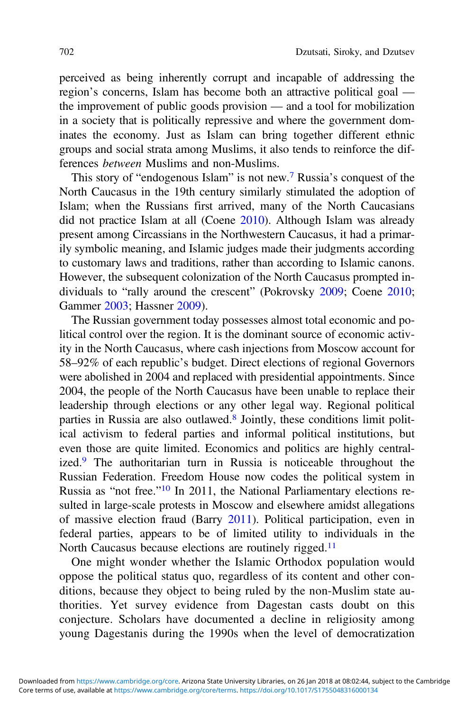perceived as being inherently corrupt and incapable of addressing the region's concerns, Islam has become both an attractive political goal the improvement of public goods provision — and a tool for mobilization in a society that is politically repressive and where the government dominates the economy. Just as Islam can bring together different ethnic groups and social strata among Muslims, it also tends to reinforce the differences between Muslims and non-Muslims.

This story of "endogenous Islam" is not new.[7](#page-18-0) Russia's conquest of the North Caucasus in the 19th century similarly stimulated the adoption of Islam; when the Russians first arrived, many of the North Caucasians did not practice Islam at all (Coene [2010\)](#page-20-0). Although Islam was already present among Circassians in the Northwestern Caucasus, it had a primarily symbolic meaning, and Islamic judges made their judgments according to customary laws and traditions, rather than according to Islamic canons. However, the subsequent colonization of the North Caucasus prompted individuals to "rally around the crescent" (Pokrovsky [2009](#page-23-0); Coene [2010](#page-20-0); Gammer [2003](#page-21-0); Hassner [2009](#page-21-0)).

The Russian government today possesses almost total economic and political control over the region. It is the dominant source of economic activity in the North Caucasus, where cash injections from Moscow account for 58–92% of each republic's budget. Direct elections of regional Governors were abolished in 2004 and replaced with presidential appointments. Since 2004, the people of the North Caucasus have been unable to replace their leadership through elections or any other legal way. Regional political parties in Russia are also outlawed.<sup>[8](#page-18-0)</sup> Jointly, these conditions limit political activism to federal parties and informal political institutions, but even those are quite limited. Economics and politics are highly centralized.[9](#page-18-0) The authoritarian turn in Russia is noticeable throughout the Russian Federation. Freedom House now codes the political system in Russia as "not free."[10](#page-18-0) In 2011, the National Parliamentary elections resulted in large-scale protests in Moscow and elsewhere amidst allegations of massive election fraud (Barry [2011\)](#page-20-0). Political participation, even in federal parties, appears to be of limited utility to individuals in the North Caucasus because elections are routinely rigged.<sup>11</sup>

One might wonder whether the Islamic Orthodox population would oppose the political status quo, regardless of its content and other conditions, because they object to being ruled by the non-Muslim state authorities. Yet survey evidence from Dagestan casts doubt on this conjecture. Scholars have documented a decline in religiosity among young Dagestanis during the 1990s when the level of democratization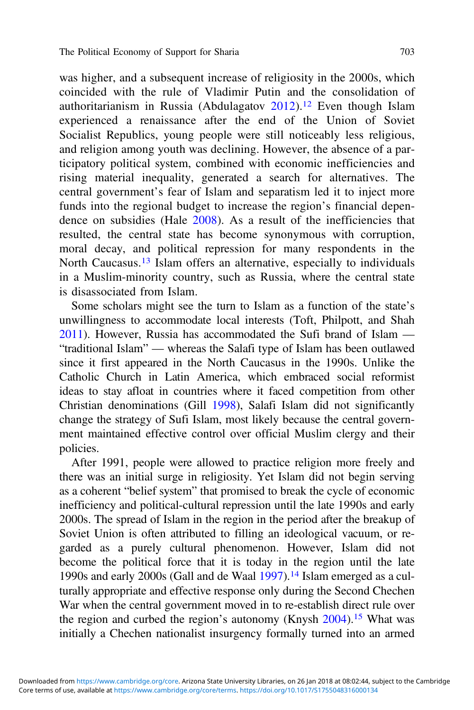was higher, and a subsequent increase of religiosity in the 2000s, which coincided with the rule of Vladimir Putin and the consolidation of authoritarianism in Russia (Abdulagatov  $2012$ ).<sup>[12](#page-18-0)</sup> Even though Islam experienced a renaissance after the end of the Union of Soviet Socialist Republics, young people were still noticeably less religious, and religion among youth was declining. However, the absence of a participatory political system, combined with economic inefficiencies and rising material inequality, generated a search for alternatives. The central government's fear of Islam and separatism led it to inject more funds into the regional budget to increase the region's financial dependence on subsidies (Hale [2008\)](#page-21-0). As a result of the inefficiencies that resulted, the central state has become synonymous with corruption, moral decay, and political repression for many respondents in the North Caucasus.<sup>[13](#page-18-0)</sup> Islam offers an alternative, especially to individuals in a Muslim-minority country, such as Russia, where the central state is disassociated from Islam.

Some scholars might see the turn to Islam as a function of the state's unwillingness to accommodate local interests (Toft, Philpott, and Shah [2011](#page-23-0)). However, Russia has accommodated the Sufi brand of Islam — "traditional Islam" — whereas the Salafi type of Islam has been outlawed since it first appeared in the North Caucasus in the 1990s. Unlike the Catholic Church in Latin America, which embraced social reformist ideas to stay afloat in countries where it faced competition from other Christian denominations (Gill [1998](#page-21-0)), Salafi Islam did not significantly change the strategy of Sufi Islam, most likely because the central government maintained effective control over official Muslim clergy and their policies.

After 1991, people were allowed to practice religion more freely and there was an initial surge in religiosity. Yet Islam did not begin serving as a coherent "belief system" that promised to break the cycle of economic inefficiency and political-cultural repression until the late 1990s and early 2000s. The spread of Islam in the region in the period after the breakup of Soviet Union is often attributed to filling an ideological vacuum, or regarded as a purely cultural phenomenon. However, Islam did not become the political force that it is today in the region until the late 1990s and early 2000s (Gall and de Waal [1997](#page-21-0)).[14](#page-18-0) Islam emerged as a culturally appropriate and effective response only during the Second Chechen War when the central government moved in to re-establish direct rule over the region and curbed the region's autonomy (Knysh [2004](#page-22-0))[.15](#page-19-0) What was initially a Chechen nationalist insurgency formally turned into an armed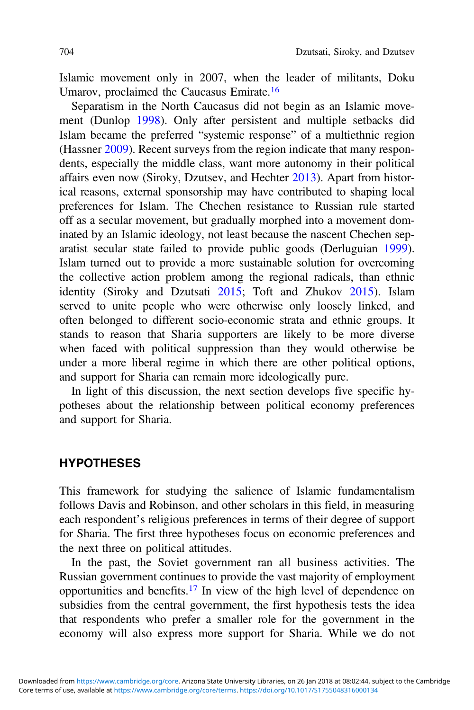Islamic movement only in 2007, when the leader of militants, Doku Umarov, proclaimed the Caucasus Emirate.[16](#page-19-0)

Separatism in the North Caucasus did not begin as an Islamic movement (Dunlop [1998](#page-21-0)). Only after persistent and multiple setbacks did Islam became the preferred "systemic response" of a multiethnic region (Hassner [2009](#page-21-0)). Recent surveys from the region indicate that many respondents, especially the middle class, want more autonomy in their political affairs even now (Siroky, Dzutsev, and Hechter [2013](#page-23-0)). Apart from historical reasons, external sponsorship may have contributed to shaping local preferences for Islam. The Chechen resistance to Russian rule started off as a secular movement, but gradually morphed into a movement dominated by an Islamic ideology, not least because the nascent Chechen separatist secular state failed to provide public goods (Derluguian [1999\)](#page-20-0). Islam turned out to provide a more sustainable solution for overcoming the collective action problem among the regional radicals, than ethnic identity (Siroky and Dzutsati [2015;](#page-23-0) Toft and Zhukov [2015\)](#page-23-0). Islam served to unite people who were otherwise only loosely linked, and often belonged to different socio-economic strata and ethnic groups. It stands to reason that Sharia supporters are likely to be more diverse when faced with political suppression than they would otherwise be under a more liberal regime in which there are other political options, and support for Sharia can remain more ideologically pure.

In light of this discussion, the next section develops five specific hypotheses about the relationship between political economy preferences and support for Sharia.

#### **HYPOTHESES**

This framework for studying the salience of Islamic fundamentalism follows Davis and Robinson, and other scholars in this field, in measuring each respondent's religious preferences in terms of their degree of support for Sharia. The first three hypotheses focus on economic preferences and the next three on political attitudes.

In the past, the Soviet government ran all business activities. The Russian government continues to provide the vast majority of employment opportunities and benefits.[17](#page-19-0) In view of the high level of dependence on subsidies from the central government, the first hypothesis tests the idea that respondents who prefer a smaller role for the government in the economy will also express more support for Sharia. While we do not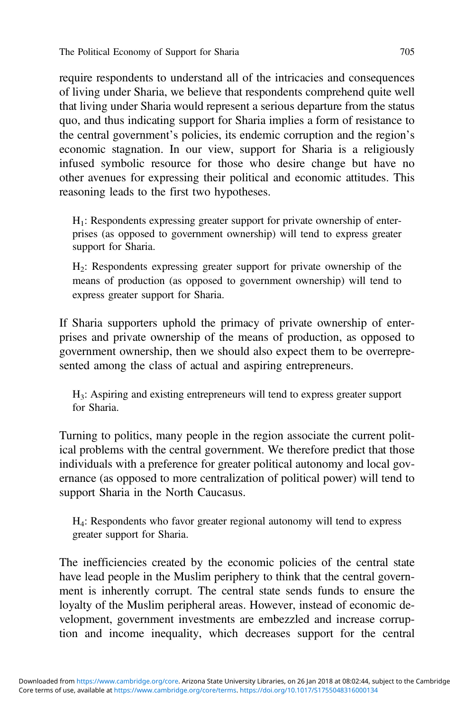require respondents to understand all of the intricacies and consequences of living under Sharia, we believe that respondents comprehend quite well that living under Sharia would represent a serious departure from the status quo, and thus indicating support for Sharia implies a form of resistance to the central government's policies, its endemic corruption and the region's economic stagnation. In our view, support for Sharia is a religiously infused symbolic resource for those who desire change but have no other avenues for expressing their political and economic attitudes. This reasoning leads to the first two hypotheses.

 $H<sub>1</sub>$ : Respondents expressing greater support for private ownership of enterprises (as opposed to government ownership) will tend to express greater support for Sharia.

H2: Respondents expressing greater support for private ownership of the means of production (as opposed to government ownership) will tend to express greater support for Sharia.

If Sharia supporters uphold the primacy of private ownership of enterprises and private ownership of the means of production, as opposed to government ownership, then we should also expect them to be overrepresented among the class of actual and aspiring entrepreneurs.

H3: Aspiring and existing entrepreneurs will tend to express greater support for Sharia.

Turning to politics, many people in the region associate the current political problems with the central government. We therefore predict that those individuals with a preference for greater political autonomy and local governance (as opposed to more centralization of political power) will tend to support Sharia in the North Caucasus.

H4: Respondents who favor greater regional autonomy will tend to express greater support for Sharia.

The inefficiencies created by the economic policies of the central state have lead people in the Muslim periphery to think that the central government is inherently corrupt. The central state sends funds to ensure the loyalty of the Muslim peripheral areas. However, instead of economic development, government investments are embezzled and increase corruption and income inequality, which decreases support for the central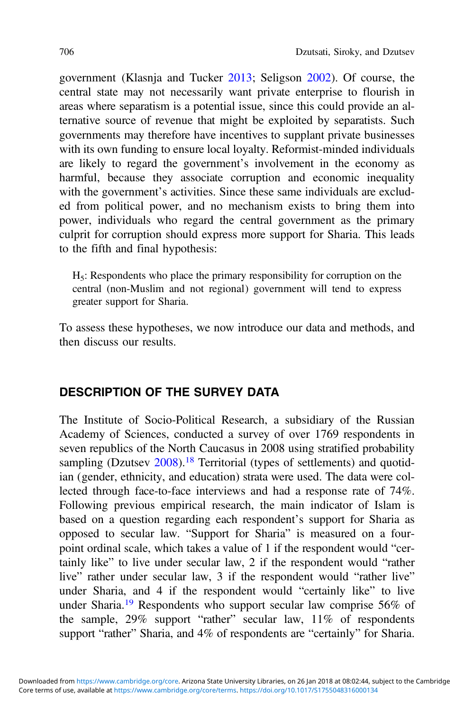government (Klasnja and Tucker [2013;](#page-22-0) Seligson [2002\)](#page-23-0). Of course, the central state may not necessarily want private enterprise to flourish in areas where separatism is a potential issue, since this could provide an alternative source of revenue that might be exploited by separatists. Such governments may therefore have incentives to supplant private businesses with its own funding to ensure local loyalty. Reformist-minded individuals are likely to regard the government's involvement in the economy as harmful, because they associate corruption and economic inequality with the government's activities. Since these same individuals are excluded from political power, and no mechanism exists to bring them into power, individuals who regard the central government as the primary culprit for corruption should express more support for Sharia. This leads to the fifth and final hypothesis:

H5: Respondents who place the primary responsibility for corruption on the central (non-Muslim and not regional) government will tend to express greater support for Sharia.

To assess these hypotheses, we now introduce our data and methods, and then discuss our results.

# DESCRIPTION OF THE SURVEY DATA

The Institute of Socio-Political Research, a subsidiary of the Russian Academy of Sciences, conducted a survey of over 1769 respondents in seven republics of the North Caucasus in 2008 using stratified probability sampling (Dzutsev [2008\)](#page-21-0).<sup>[18](#page-19-0)</sup> Territorial (types of settlements) and quotidian (gender, ethnicity, and education) strata were used. The data were collected through face-to-face interviews and had a response rate of 74%. Following previous empirical research, the main indicator of Islam is based on a question regarding each respondent's support for Sharia as opposed to secular law. "Support for Sharia" is measured on a fourpoint ordinal scale, which takes a value of 1 if the respondent would "certainly like" to live under secular law, 2 if the respondent would "rather live" rather under secular law, 3 if the respondent would "rather live" under Sharia, and 4 if the respondent would "certainly like" to live under Sharia.[19](#page-19-0) Respondents who support secular law comprise 56% of the sample, 29% support "rather" secular law, 11% of respondents support "rather" Sharia, and 4% of respondents are "certainly" for Sharia.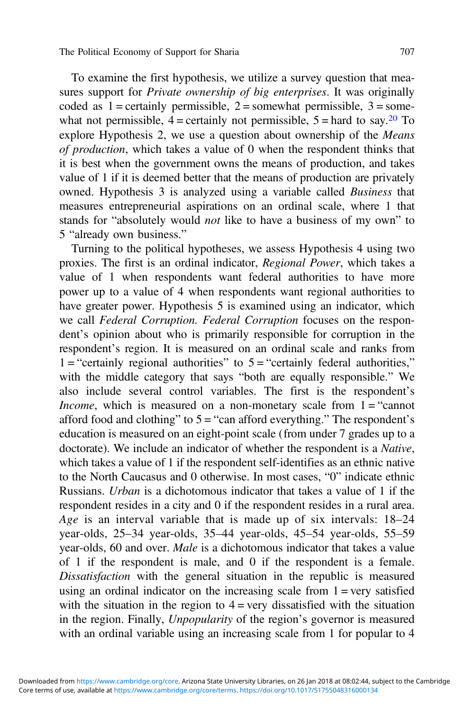To examine the first hypothesis, we utilize a survey question that measures support for *Private ownership of big enterprises*. It was originally coded as  $1 =$  certainly permissible,  $2 =$  somewhat permissible,  $3 =$  somewhat not permissible,  $4 =$ certainly not permissible,  $5 =$ hard to say.<sup>[20](#page-19-0)</sup> To explore Hypothesis 2, we use a question about ownership of the Means of production, which takes a value of 0 when the respondent thinks that it is best when the government owns the means of production, and takes value of 1 if it is deemed better that the means of production are privately owned. Hypothesis 3 is analyzed using a variable called Business that measures entrepreneurial aspirations on an ordinal scale, where 1 that stands for "absolutely would not like to have a business of my own" to 5 "already own business."

Turning to the political hypotheses, we assess Hypothesis 4 using two proxies. The first is an ordinal indicator, Regional Power, which takes a value of 1 when respondents want federal authorities to have more power up to a value of 4 when respondents want regional authorities to have greater power. Hypothesis 5 is examined using an indicator, which we call Federal Corruption. Federal Corruption focuses on the respondent's opinion about who is primarily responsible for corruption in the respondent's region. It is measured on an ordinal scale and ranks from  $1 =$  "certainly regional authorities" to  $5 =$  "certainly federal authorities," with the middle category that says "both are equally responsible." We also include several control variables. The first is the respondent's *Income*, which is measured on a non-monetary scale from  $1 =$  "cannot" afford food and clothing" to  $5 =$  "can afford everything." The respondent's education is measured on an eight-point scale (from under 7 grades up to a doctorate). We include an indicator of whether the respondent is a Native, which takes a value of 1 if the respondent self-identifies as an ethnic native to the North Caucasus and 0 otherwise. In most cases, "0" indicate ethnic Russians. Urban is a dichotomous indicator that takes a value of 1 if the respondent resides in a city and 0 if the respondent resides in a rural area. Age is an interval variable that is made up of six intervals: 18–24 year-olds, 25–34 year-olds, 35–44 year-olds, 45–54 year-olds, 55–59 year-olds, 60 and over. Male is a dichotomous indicator that takes a value of 1 if the respondent is male, and 0 if the respondent is a female. Dissatisfaction with the general situation in the republic is measured using an ordinal indicator on the increasing scale from  $1 = \text{very satisfied}$ with the situation in the region to  $4 = \text{very dissatisfied with the situation}$ in the region. Finally, Unpopularity of the region's governor is measured with an ordinal variable using an increasing scale from 1 for popular to 4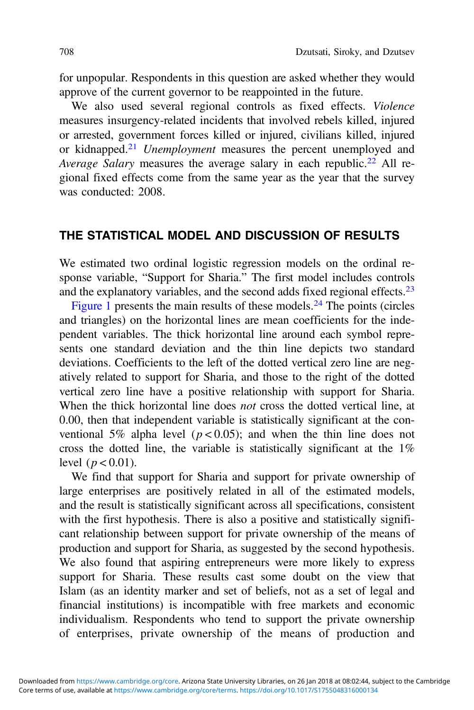for unpopular. Respondents in this question are asked whether they would approve of the current governor to be reappointed in the future.

We also used several regional controls as fixed effects. Violence measures insurgency-related incidents that involved rebels killed, injured or arrested, government forces killed or injured, civilians killed, injured or kidnapped.<sup>[21](#page-19-0)</sup> Unemployment measures the percent unemployed and Average Salary measures the average salary in each republic.<sup>[22](#page-19-0)</sup> All regional fixed effects come from the same year as the year that the survey was conducted: 2008.

# THE STATISTICAL MODEL AND DISCUSSION OF RESULTS

We estimated two ordinal logistic regression models on the ordinal response variable, "Support for Sharia." The first model includes controls and the explanatory variables, and the second adds fixed regional effects.[23](#page-19-0)

[Figure 1](#page-14-0) presents the main results of these models. $^{24}$  $^{24}$  $^{24}$  The points (circles and triangles) on the horizontal lines are mean coefficients for the independent variables. The thick horizontal line around each symbol represents one standard deviation and the thin line depicts two standard deviations. Coefficients to the left of the dotted vertical zero line are negatively related to support for Sharia, and those to the right of the dotted vertical zero line have a positive relationship with support for Sharia. When the thick horizontal line does *not* cross the dotted vertical line, at 0.00, then that independent variable is statistically significant at the conventional 5% alpha level ( $p < 0.05$ ); and when the thin line does not cross the dotted line, the variable is statistically significant at the 1% level ( $p < 0.01$ ).

We find that support for Sharia and support for private ownership of large enterprises are positively related in all of the estimated models, and the result is statistically significant across all specifications, consistent with the first hypothesis. There is also a positive and statistically significant relationship between support for private ownership of the means of production and support for Sharia, as suggested by the second hypothesis. We also found that aspiring entrepreneurs were more likely to express support for Sharia. These results cast some doubt on the view that Islam (as an identity marker and set of beliefs, not as a set of legal and financial institutions) is incompatible with free markets and economic individualism. Respondents who tend to support the private ownership of enterprises, private ownership of the means of production and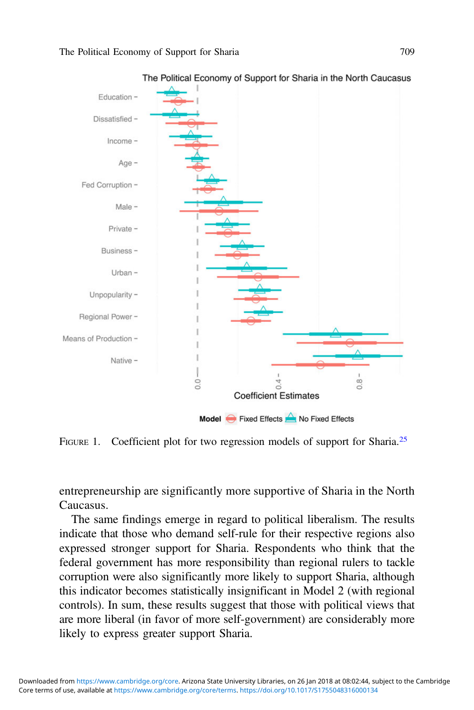<span id="page-14-0"></span>

The Political Economy of Support for Sharia in the North Caucasus

FIGURE 1. Coefficient plot for two regression models of support for Sharia.<sup>[25](#page-19-0)</sup>

entrepreneurship are significantly more supportive of Sharia in the North Caucasus.

The same findings emerge in regard to political liberalism. The results indicate that those who demand self-rule for their respective regions also expressed stronger support for Sharia. Respondents who think that the federal government has more responsibility than regional rulers to tackle corruption were also significantly more likely to support Sharia, although this indicator becomes statistically insignificant in Model 2 (with regional controls). In sum, these results suggest that those with political views that are more liberal (in favor of more self-government) are considerably more likely to express greater support Sharia.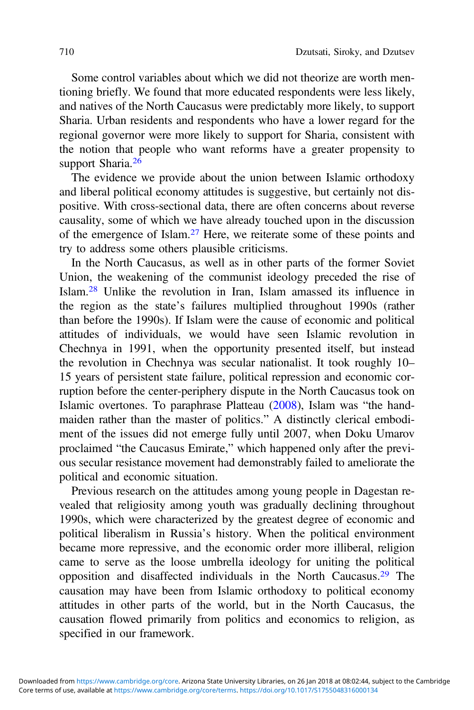Some control variables about which we did not theorize are worth mentioning briefly. We found that more educated respondents were less likely, and natives of the North Caucasus were predictably more likely, to support Sharia. Urban residents and respondents who have a lower regard for the regional governor were more likely to support for Sharia, consistent with the notion that people who want reforms have a greater propensity to support Sharia.<sup>[26](#page-19-0)</sup>

The evidence we provide about the union between Islamic orthodoxy and liberal political economy attitudes is suggestive, but certainly not dispositive. With cross-sectional data, there are often concerns about reverse causality, some of which we have already touched upon in the discussion of the emergence of Islam.[27](#page-19-0) Here, we reiterate some of these points and try to address some others plausible criticisms.

In the North Caucasus, as well as in other parts of the former Soviet Union, the weakening of the communist ideology preceded the rise of Islam.[28](#page-19-0) Unlike the revolution in Iran, Islam amassed its influence in the region as the state's failures multiplied throughout 1990s (rather than before the 1990s). If Islam were the cause of economic and political attitudes of individuals, we would have seen Islamic revolution in Chechnya in 1991, when the opportunity presented itself, but instead the revolution in Chechnya was secular nationalist. It took roughly 10– 15 years of persistent state failure, political repression and economic corruption before the center-periphery dispute in the North Caucasus took on Islamic overtones. To paraphrase Platteau ([2008\)](#page-23-0), Islam was "the handmaiden rather than the master of politics." A distinctly clerical embodiment of the issues did not emerge fully until 2007, when Doku Umarov proclaimed "the Caucasus Emirate," which happened only after the previous secular resistance movement had demonstrably failed to ameliorate the political and economic situation.

Previous research on the attitudes among young people in Dagestan revealed that religiosity among youth was gradually declining throughout 1990s, which were characterized by the greatest degree of economic and political liberalism in Russia's history. When the political environment became more repressive, and the economic order more illiberal, religion came to serve as the loose umbrella ideology for uniting the political opposition and disaffected individuals in the North Caucasus.[29](#page-19-0) The causation may have been from Islamic orthodoxy to political economy attitudes in other parts of the world, but in the North Caucasus, the causation flowed primarily from politics and economics to religion, as specified in our framework.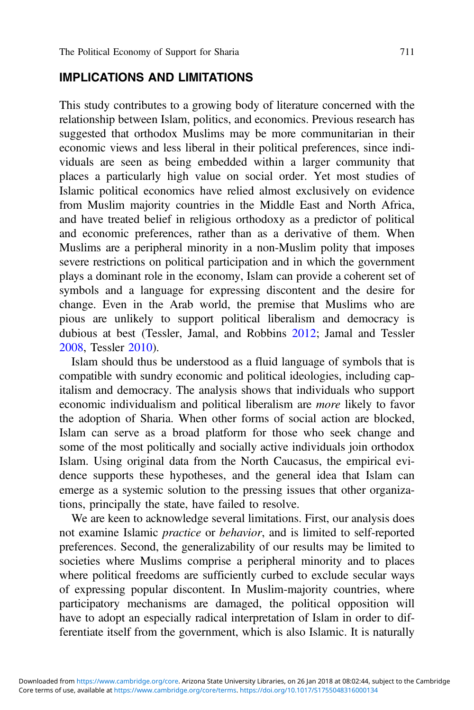#### IMPLICATIONS AND LIMITATIONS

This study contributes to a growing body of literature concerned with the relationship between Islam, politics, and economics. Previous research has suggested that orthodox Muslims may be more communitarian in their economic views and less liberal in their political preferences, since individuals are seen as being embedded within a larger community that places a particularly high value on social order. Yet most studies of Islamic political economics have relied almost exclusively on evidence from Muslim majority countries in the Middle East and North Africa, and have treated belief in religious orthodoxy as a predictor of political and economic preferences, rather than as a derivative of them. When Muslims are a peripheral minority in a non-Muslim polity that imposes severe restrictions on political participation and in which the government plays a dominant role in the economy, Islam can provide a coherent set of symbols and a language for expressing discontent and the desire for change. Even in the Arab world, the premise that Muslims who are pious are unlikely to support political liberalism and democracy is dubious at best (Tessler, Jamal, and Robbins [2012](#page-23-0); Jamal and Tessler [2008](#page-22-0), Tessler [2010\)](#page-23-0).

Islam should thus be understood as a fluid language of symbols that is compatible with sundry economic and political ideologies, including capitalism and democracy. The analysis shows that individuals who support economic individualism and political liberalism are more likely to favor the adoption of Sharia. When other forms of social action are blocked, Islam can serve as a broad platform for those who seek change and some of the most politically and socially active individuals join orthodox Islam. Using original data from the North Caucasus, the empirical evidence supports these hypotheses, and the general idea that Islam can emerge as a systemic solution to the pressing issues that other organizations, principally the state, have failed to resolve.

We are keen to acknowledge several limitations. First, our analysis does not examine Islamic practice or behavior, and is limited to self-reported preferences. Second, the generalizability of our results may be limited to societies where Muslims comprise a peripheral minority and to places where political freedoms are sufficiently curbed to exclude secular ways of expressing popular discontent. In Muslim-majority countries, where participatory mechanisms are damaged, the political opposition will have to adopt an especially radical interpretation of Islam in order to differentiate itself from the government, which is also Islamic. It is naturally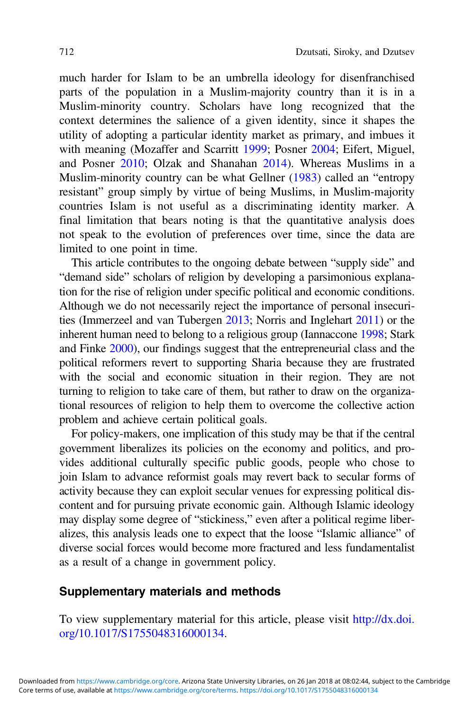much harder for Islam to be an umbrella ideology for disenfranchised parts of the population in a Muslim-majority country than it is in a Muslim-minority country. Scholars have long recognized that the context determines the salience of a given identity, since it shapes the utility of adopting a particular identity market as primary, and imbues it with meaning (Mozaffer and Scarritt [1999](#page-22-0); Posner [2004;](#page-23-0) Eifert, Miguel, and Posner [2010;](#page-21-0) Olzak and Shanahan [2014\)](#page-22-0). Whereas Muslims in a Muslim-minority country can be what Gellner [\(1983](#page-21-0)) called an "entropy resistant" group simply by virtue of being Muslims, in Muslim-majority countries Islam is not useful as a discriminating identity marker. A final limitation that bears noting is that the quantitative analysis does not speak to the evolution of preferences over time, since the data are limited to one point in time.

This article contributes to the ongoing debate between "supply side" and "demand side" scholars of religion by developing a parsimonious explanation for the rise of religion under specific political and economic conditions. Although we do not necessarily reject the importance of personal insecurities (Immerzeel and van Tubergen [2013](#page-22-0); Norris and Inglehart [2011\)](#page-22-0) or the inherent human need to belong to a religious group (Iannaccone [1998;](#page-21-0) Stark and Finke [2000](#page-23-0)), our findings suggest that the entrepreneurial class and the political reformers revert to supporting Sharia because they are frustrated with the social and economic situation in their region. They are not turning to religion to take care of them, but rather to draw on the organizational resources of religion to help them to overcome the collective action problem and achieve certain political goals.

For policy-makers, one implication of this study may be that if the central government liberalizes its policies on the economy and politics, and provides additional culturally specific public goods, people who chose to join Islam to advance reformist goals may revert back to secular forms of activity because they can exploit secular venues for expressing political discontent and for pursuing private economic gain. Although Islamic ideology may display some degree of "stickiness," even after a political regime liberalizes, this analysis leads one to expect that the loose "Islamic alliance" of diverse social forces would become more fractured and less fundamentalist as a result of a change in government policy.

# Supplementary materials and methods

To view supplementary material for this article, please visit [http://dx.doi.](http://dx.doi.org/10.1017/S1755048316000134) [org/10.1017/S1755048316000134](http://dx.doi.org/10.1017/S1755048316000134).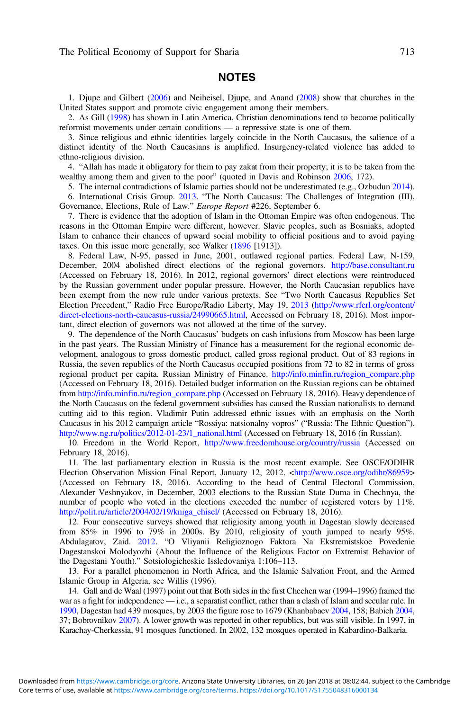#### NOTES

<span id="page-18-0"></span>1. Djupe and Gilbert ([2006\)](#page-21-0) and Neiheisel, Djupe, and Anand ([2008\)](#page-22-0) show that churches in the United States support and promote civic engagement among their members.

2. As Gill [\(1998](#page-21-0)) has shown in Latin America, Christian denominations tend to become politically reformist movements under certain conditions — a repressive state is one of them.

3. Since religious and ethnic identities largely coincide in the North Caucasus, the salience of a distinct identity of the North Caucasians is amplified. Insurgency-related violence has added to ethno-religious division.

4. "Allah has made it obligatory for them to pay zakat from their property; it is to be taken from the wealthy among them and given to the poor" (quoted in Davis and Robinson [2006,](#page-20-0) 172).

5. The internal contradictions of Islamic parties should not be underestimated (e.g., Ozbudun [2014](#page-22-0)). 6. International Crisis Group. [2013.](#page-22-0) "The North Caucasus: The Challenges of Integration (III), Governance, Elections, Rule of Law." Europe Report #226, September 6.

7. There is evidence that the adoption of Islam in the Ottoman Empire was often endogenous. The reasons in the Ottoman Empire were different, however. Slavic peoples, such as Bosniaks, adopted Islam to enhance their chances of upward social mobility to official positions and to avoid paying taxes. On this issue more generally, see Walker ([1896](#page-23-0) [1913]).

8. Federal Law, N-95, passed in June, 2001, outlawed regional parties. Federal Law, N-159, December, 2004 abolished direct elections of the regional governors. <http://base.consultant.ru> (Accessed on February 18, 2016). In 2012, regional governors' direct elections were reintroduced by the Russian government under popular pressure. However, the North Caucasian republics have been exempt from the new rule under various pretexts. See "Two North Caucasus Republics Set Election Precedent," Radio Free Europe/Radio Liberty, May 19, [2013](#page-23-0) ([http://www.rferl.org/content/](http://www.rferl.org/content/direct-elections-north-caucasus-russia/24990665.html) [direct-elections-north-caucasus-russia/24990665.html,](http://www.rferl.org/content/direct-elections-north-caucasus-russia/24990665.html) Accessed on February 18, 2016). Most important, direct election of governors was not allowed at the time of the survey.

9. The dependence of the North Caucasus' budgets on cash infusions from Moscow has been large in the past years. The Russian Ministry of Finance has a measurement for the regional economic development, analogous to gross domestic product, called gross regional product. Out of 83 regions in Russia, the seven republics of the North Caucasus occupied positions from 72 to 82 in terms of gross regional product per capita. Russian Ministry of Finance. [http://info.minfin.ru/region\\_compare.php](http://info.minfin.ru/region_compare.php) (Accessed on February 18, 2016). Detailed budget information on the Russian regions can be obtained from [http://info.minfin.ru/region\\_compare.php](http://info.minfin.ru/region_compare.php) (Accessed on February 18, 2016). Heavy dependence of the North Caucasus on the federal government subsidies has caused the Russian nationalists to demand cutting aid to this region. Vladimir Putin addressed ethnic issues with an emphasis on the North Caucasus in his 2012 campaign article "Rossiya: natsionalny vopros" ("Russia: The Ethnic Question"). [http://www.ng.ru/politics/2012-01-23/1\\_national.html](http://www.ng.ru/politics/2012-01-23/1_national.html) (Accessed on February 18, 2016 (in Russian).

10. Freedom in the World Report, <http://www.freedomhouse.org/country/russia> (Accessed on February 18, 2016).

11. The last parliamentary election in Russia is the most recent example. See OSCE/ODIHR Election Observation Mission Final Report, January 12, 2012. [<http://www.osce.org/odihr/86959](http://www.osce.org/odihr/86959)> (Accessed on February 18, 2016). According to the head of Central Electoral Commission, Alexander Veshnyakov, in December, 2003 elections to the Russian State Duma in Chechnya, the number of people who voted in the elections exceeded the number of registered voters by 11%. [http://polit.ru/article/2004/02/19/kniga\\_chisel/](http://polit.ru/article/2004/02/19/kniga_chisel/) (Accessed on February 18, 2016).

12. Four consecutive surveys showed that religiosity among youth in Dagestan slowly decreased from 85% in 1996 to 79% in 2000s. By 2010, religiosity of youth jumped to nearly 95%. Abdulagatov, Zaid. [2012.](#page-19-0) "O Vliyanii Religioznogo Faktora Na Ekstremistskoe Povedenie Dagestanskoi Molodyozhi (About the Influence of the Religious Factor on Extremist Behavior of the Dagestani Youth)." Sotsiologicheskie Issledovaniya 1:106–113.

13. For a parallel phenomenon in North Africa, and the Islamic Salvation Front, and the Armed Islamic Group in Algeria, see Willis (1996).

14. Gall and de Waal (1997) point out that Both sides in the first Chechen war (1994–1996) framed the war as a fight for independence — i.e., a separatist conflict, rather than a clash of Islam and secular rule. In [1990,](#page-23-0) Dagestan had 439 mosques, by 2003 the figure rose to 1679 (Khanbabaev [2004](#page-22-0), 158; Babich [2004,](#page-20-0) 37; Bobrovnikov [2007](#page-20-0)). A lower growth was reported in other republics, but was still visible. In 1997, in Karachay-Cherkessia, 91 mosques functioned. In 2002, 132 mosques operated in Kabardino-Balkaria.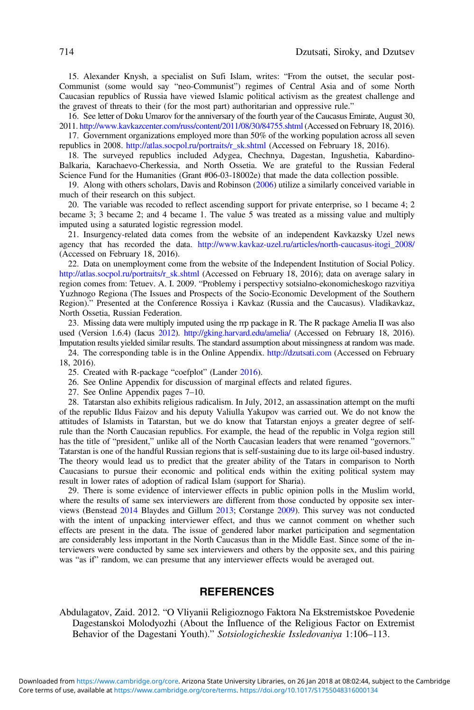<span id="page-19-0"></span>15. Alexander Knysh, a specialist on Sufi Islam, writes: "From the outset, the secular post-Communist (some would say "neo-Communist") regimes of Central Asia and of some North Caucasian republics of Russia have viewed Islamic political activism as the greatest challenge and the gravest of threats to their (for the most part) authoritarian and oppressive rule."

16. See letter of Doku Umarov for the anniversary of the fourth year of the Caucasus Emirate, August 30, 2011. <http://www.kavkazcenter.com/russ/content/2011/08/30/84755.shtml> (Accessed on February 18, 2016).

17. Government organizations employed more than 50% of the working population across all seven republics in 2008. [http://atlas.socpol.ru/portraits/r\\_sk.shtml](http://atlas.socpol.ru/portraits/r_sk.shtml) (Accessed on February 18, 2016).

18. The surveyed republics included Adygea, Chechnya, Dagestan, Ingushetia, Kabardino-Balkaria, Karachaevo-Cherkessia, and North Ossetia. We are grateful to the Russian Federal Science Fund for the Humanities (Grant #06-03-18002e) that made the data collection possible.

19. Along with others scholars, Davis and Robinson [\(2006](#page-20-0)) utilize a similarly conceived variable in much of their research on this subject.

20. The variable was recoded to reflect ascending support for private enterprise, so 1 became 4; 2 became 3; 3 became 2; and 4 became 1. The value 5 was treated as a missing value and multiply imputed using a saturated logistic regression model.

21. Insurgency-related data comes from the website of an independent Kavkazsky Uzel news agency that has recorded the data. [http://www.kavkaz-uzel.ru/articles/north-caucasus-itogi\\_2008/](http://www.kavkaz-uzel.ru/articles/north-caucasus-itogi_2008/) (Accessed on February 18, 2016).

22. Data on unemployment come from the website of the Independent Institution of Social Policy. [http://atlas.socpol.ru/portraits/r\\_sk.shtml](http://atlas.socpol.ru/portraits/r_sk.shtml) (Accessed on February 18, 2016); data on average salary in region comes from: Tetuev. A. I. 2009. "Problemy i perspectivy sotsialno-ekonomicheskogo razvitiya Yuzhnogo Regiona (The Issues and Prospects of the Socio-Economic Development of the Southern Region)." Presented at the Conference Rossiya i Kavkaz (Russia and the Caucasus). Vladikavkaz, North Ossetia, Russian Federation.

23. Missing data were multiply imputed using the rrp package in R. The R package Amelia II was also used (Version 1.6.4) (Iacus [2012\)](#page-22-0). <http://gking.harvard.edu/amelia/> (Accessed on February 18, 2016). Imputation results yielded similar results. The standard assumption about missingness at random was made.

24. The corresponding table is in the Online Appendix. <http://dzutsati.com> (Accessed on February 18, 2016).

25. Created with R-package "coefplot" (Lander [2016\)](#page-22-0).

26. See Online Appendix for discussion of marginal effects and related figures.

27. See Online Appendix pages 7–10.

28. Tatarstan also exhibits religious radicalism. In July, 2012, an assassination attempt on the mufti of the republic Ildus Faizov and his deputy Valiulla Yakupov was carried out. We do not know the attitudes of Islamists in Tatarstan, but we do know that Tatarstan enjoys a greater degree of selfrule than the North Caucasian republics. For example, the head of the republic in Volga region still has the title of "president," unlike all of the North Caucasian leaders that were renamed "governors." Tatarstan is one of the handful Russian regions that is self-sustaining due to its large oil-based industry. The theory would lead us to predict that the greater ability of the Tatars in comparison to North Caucasians to pursue their economic and political ends within the exiting political system may result in lower rates of adoption of radical Islam (support for Sharia).

29. There is some evidence of interviewer effects in public opinion polls in the Muslim world, where the results of same sex interviewers are different from those conducted by opposite sex interviews (Benstead [2014](#page-20-0) Blaydes and Gillum [2013;](#page-20-0) Corstange [2009\)](#page-20-0). This survey was not conducted with the intent of unpacking interviewer effect, and thus we cannot comment on whether such effects are present in the data. The issue of gendered labor market participation and segmentation are considerably less important in the North Caucasus than in the Middle East. Since some of the interviewers were conducted by same sex interviewers and others by the opposite sex, and this pairing was "as if" random, we can presume that any interviewer effects would be averaged out.

#### **REFERENCES**

Abdulagatov, Zaid. 2012. "O Vliyanii Religioznogo Faktora Na Ekstremistskoe Povedenie Dagestanskoi Molodyozhi (About the Influence of the Religious Factor on Extremist Behavior of the Dagestani Youth)." Sotsiologicheskie Issledovaniya 1:106–113.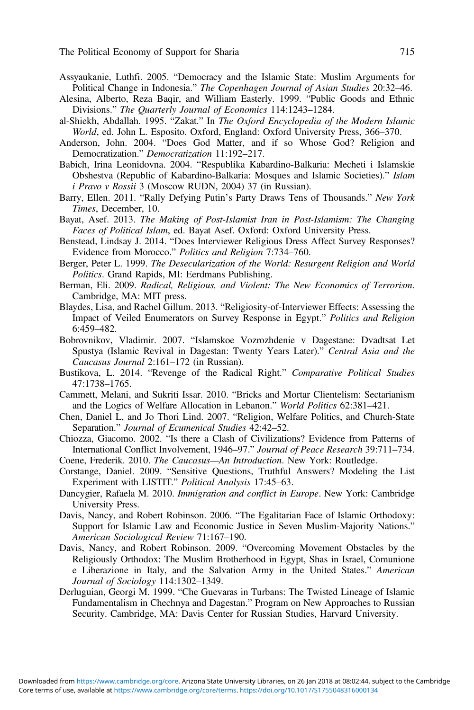- <span id="page-20-0"></span>Assyaukanie, Luthfi. 2005. "Democracy and the Islamic State: Muslim Arguments for Political Change in Indonesia." The Copenhagen Journal of Asian Studies 20:32–46.
- Alesina, Alberto, Reza Baqir, and William Easterly. 1999. "Public Goods and Ethnic Divisions." The Quarterly Journal of Economics 114:1243–1284.
- al-Shiekh, Abdallah. 1995. "Zakat." In The Oxford Encyclopedia of the Modern Islamic World, ed. John L. Esposito. Oxford, England: Oxford University Press, 366–370.
- Anderson, John. 2004. "Does God Matter, and if so Whose God? Religion and Democratization." Democratization 11:192–217.
- Babich, Irina Leonidovna. 2004. "Respublika Kabardino-Balkaria: Mecheti i Islamskie Obshestva (Republic of Kabardino-Balkaria: Mosques and Islamic Societies)." Islam i Pravo v Rossii 3 (Moscow RUDN, 2004) 37 (in Russian).
- Barry, Ellen. 2011. "Rally Defying Putin's Party Draws Tens of Thousands." New York Times, December, 10.
- Bayat, Asef. 2013. The Making of Post-Islamist Iran in Post-Islamism: The Changing Faces of Political Islam, ed. Bayat Asef. Oxford: Oxford University Press.
- Benstead, Lindsay J. 2014. "Does Interviewer Religious Dress Affect Survey Responses? Evidence from Morocco." Politics and Religion 7:734–760.
- Berger, Peter L. 1999. The Desecularization of the World: Resurgent Religion and World Politics. Grand Rapids, MI: Eerdmans Publishing.
- Berman, Eli. 2009. Radical, Religious, and Violent: The New Economics of Terrorism. Cambridge, MA: MIT press.
- Blaydes, Lisa, and Rachel Gillum. 2013. "Religiosity-of-Interviewer Effects: Assessing the Impact of Veiled Enumerators on Survey Response in Egypt." Politics and Religion 6:459–482.
- Bobrovnikov, Vladimir. 2007. "Islamskoe Vozrozhdenie v Dagestane: Dvadtsat Let Spustya (Islamic Revival in Dagestan: Twenty Years Later)." Central Asia and the Caucasus Journal 2:161–172 (in Russian).
- Bustikova, L. 2014. "Revenge of the Radical Right." Comparative Political Studies 47:1738–1765.
- Cammett, Melani, and Sukriti Issar. 2010. "Bricks and Mortar Clientelism: Sectarianism and the Logics of Welfare Allocation in Lebanon." World Politics 62:381–421.
- Chen, Daniel L, and Jo Thori Lind. 2007. "Religion, Welfare Politics, and Church-State Separation." Journal of Ecumenical Studies 42:42–52.
- Chiozza, Giacomo. 2002. "Is there a Clash of Civilizations? Evidence from Patterns of International Conflict Involvement, 1946–97." Journal of Peace Research 39:711–734.
- Coene, Frederik. 2010. The Caucasus—An Introduction. New York: Routledge.
- Corstange, Daniel. 2009. "Sensitive Questions, Truthful Answers? Modeling the List Experiment with LISTIT." Political Analysis 17:45–63.
- Dancygier, Rafaela M. 2010. Immigration and conflict in Europe. New York: Cambridge University Press.
- Davis, Nancy, and Robert Robinson. 2006. "The Egalitarian Face of Islamic Orthodoxy: Support for Islamic Law and Economic Justice in Seven Muslim-Majority Nations." American Sociological Review 71:167–190.
- Davis, Nancy, and Robert Robinson. 2009. "Overcoming Movement Obstacles by the Religiously Orthodox: The Muslim Brotherhood in Egypt, Shas in Israel, Comunione e Liberazione in Italy, and the Salvation Army in the United States." American Journal of Sociology 114:1302–1349.
- Derluguian, Georgi M. 1999. "Che Guevaras in Turbans: The Twisted Lineage of Islamic Fundamentalism in Chechnya and Dagestan." Program on New Approaches to Russian Security. Cambridge, MA: Davis Center for Russian Studies, Harvard University.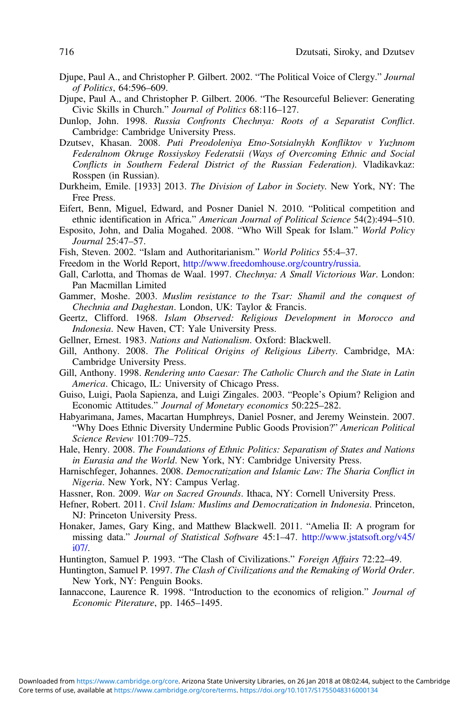- <span id="page-21-0"></span>Djupe, Paul A., and Christopher P. Gilbert. 2002. "The Political Voice of Clergy." Journal of Politics, 64:596–609.
- Djupe, Paul A., and Christopher P. Gilbert. 2006. "The Resourceful Believer: Generating Civic Skills in Church." Journal of Politics 68:116–127.
- Dunlop, John. 1998. Russia Confronts Chechnya: Roots of a Separatist Conflict. Cambridge: Cambridge University Press.
- Dzutsev, Khasan. 2008. Puti Preodoleniya Etno-Sotsialnykh Konfliktov v Yuzhnom Federalnom Okruge Rossiyskoy Federatsii (Ways of Overcoming Ethnic and Social Conflicts in Southern Federal District of the Russian Federation). Vladikavkaz: Rosspen (in Russian).
- Durkheim, Emile. [1933] 2013. The Division of Labor in Society. New York, NY: The Free Press.
- Eifert, Benn, Miguel, Edward, and Posner Daniel N. 2010. "Political competition and ethnic identification in Africa." American Journal of Political Science 54(2):494–510.
- Esposito, John, and Dalia Mogahed. 2008. "Who Will Speak for Islam." World Policy Journal 25:47–57.
- Fish, Steven. 2002. "Islam and Authoritarianism." World Politics 55:4–37.
- Freedom in the World Report, [http://www.freedomhouse.org/country/russia.](http://www.freedomhouse.org/country/russia)
- Gall, Carlotta, and Thomas de Waal. 1997. Chechnya: A Small Victorious War. London: Pan Macmillan Limited
- Gammer, Moshe. 2003. Muslim resistance to the Tsar: Shamil and the conquest of Chechnia and Daghestan. London, UK: Taylor & Francis.
- Geertz, Clifford. 1968. Islam Observed: Religious Development in Morocco and Indonesia. New Haven, CT: Yale University Press.
- Gellner, Ernest. 1983. Nations and Nationalism. Oxford: Blackwell.
- Gill, Anthony. 2008. The Political Origins of Religious Liberty. Cambridge, MA: Cambridge University Press.
- Gill, Anthony. 1998. Rendering unto Caesar: The Catholic Church and the State in Latin America. Chicago, IL: University of Chicago Press.
- Guiso, Luigi, Paola Sapienza, and Luigi Zingales. 2003. "People's Opium? Religion and Economic Attitudes." Journal of Monetary economics 50:225–282.
- Habyarimana, James, Macartan Humphreys, Daniel Posner, and Jeremy Weinstein. 2007. "Why Does Ethnic Diversity Undermine Public Goods Provision?" American Political Science Review 101:709–725.
- Hale, Henry. 2008. The Foundations of Ethnic Politics: Separatism of States and Nations in Eurasia and the World. New York, NY: Cambridge University Press.
- Harnischfeger, Johannes. 2008. Democratization and Islamic Law: The Sharia Conflict in Nigeria. New York, NY: Campus Verlag.
- Hassner, Ron. 2009. War on Sacred Grounds. Ithaca, NY: Cornell University Press.
- Hefner, Robert. 2011. Civil Islam: Muslims and Democratization in Indonesia. Princeton, NJ: Princeton University Press.
- Honaker, James, Gary King, and Matthew Blackwell. 2011. "Amelia II: A program for missing data." Journal of Statistical Software 45:1–47. [http://www.jstatsoft.org/v45/](http://www.jstatsoft.org/v45/i07/) [i07/.](http://www.jstatsoft.org/v45/i07/)
- Huntington, Samuel P. 1993. "The Clash of Civilizations." Foreign Affairs 72:22-49.
- Huntington, Samuel P. 1997. The Clash of Civilizations and the Remaking of World Order. New York, NY: Penguin Books.
- Iannaccone, Laurence R. 1998. "Introduction to the economics of religion." Journal of Economic Piterature, pp. 1465–1495.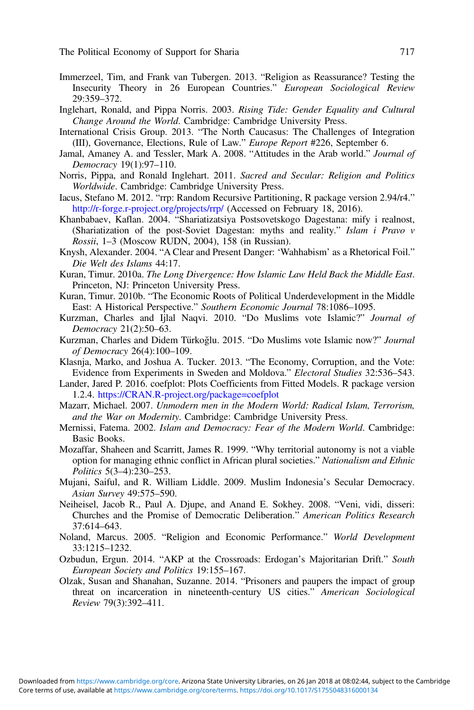- <span id="page-22-0"></span>Immerzeel, Tim, and Frank van Tubergen. 2013. "Religion as Reassurance? Testing the Insecurity Theory in 26 European Countries." European Sociological Review 29:359–372.
- Inglehart, Ronald, and Pippa Norris. 2003. Rising Tide: Gender Equality and Cultural Change Around the World. Cambridge: Cambridge University Press.
- International Crisis Group. 2013. "The North Caucasus: The Challenges of Integration (III), Governance, Elections, Rule of Law." Europe Report #226, September 6.
- Jamal, Amaney A. and Tessler, Mark A. 2008. "Attitudes in the Arab world." Journal of Democracy 19(1):97–110.
- Norris, Pippa, and Ronald Inglehart. 2011. Sacred and Secular: Religion and Politics Worldwide. Cambridge: Cambridge University Press.
- Iacus, Stefano M. 2012. "rrp: Random Recursive Partitioning, R package version 2.94/r4." <http://r-forge.r-project.org/projects/rrp/> (Accessed on February 18, 2016).
- Khanbabaev, Kaflan. 2004. "Shariatizatsiya Postsovetskogo Dagestana: mify i realnost, (Shariatization of the post-Soviet Dagestan: myths and reality." Islam i Pravo v Rossii, 1–3 (Moscow RUDN, 2004), 158 (in Russian).
- Knysh, Alexander. 2004. "A Clear and Present Danger: 'Wahhabism' as a Rhetorical Foil." Die Welt des Islams 44:17.
- Kuran, Timur. 2010a. The Long Divergence: How Islamic Law Held Back the Middle East. Princeton, NJ: Princeton University Press.
- Kuran, Timur. 2010b. "The Economic Roots of Political Underdevelopment in the Middle East: A Historical Perspective." Southern Economic Journal 78:1086–1095.
- Kurzman, Charles and Ijlal Naqvi. 2010. "Do Muslims vote Islamic?" Journal of Democracy 21(2):50–63.
- Kurzman, Charles and Didem Türkoğlu. 2015. "Do Muslims vote Islamic now?" Journal of Democracy 26(4):100–109.
- Klasnja, Marko, and Joshua A. Tucker. 2013. "The Economy, Corruption, and the Vote: Evidence from Experiments in Sweden and Moldova." Electoral Studies 32:536–543.
- Lander, Jared P. 2016. coefplot: Plots Coefficients from Fitted Models. R package version 1.2.4. <https://CRAN.R-project.org/package=coefplot>
- Mazarr, Michael. 2007. Unmodern men in the Modern World: Radical Islam, Terrorism, and the War on Modernity. Cambridge: Cambridge University Press.
- Mernissi, Fatema. 2002. Islam and Democracy: Fear of the Modern World. Cambridge: Basic Books.
- Mozaffar, Shaheen and Scarritt, James R. 1999. "Why territorial autonomy is not a viable option for managing ethnic conflict in African plural societies." Nationalism and Ethnic Politics 5(3–4):230–253.
- Mujani, Saiful, and R. William Liddle. 2009. Muslim Indonesia's Secular Democracy. Asian Survey 49:575–590.
- Neiheisel, Jacob R., Paul A. Djupe, and Anand E. Sokhey. 2008. "Veni, vidi, disseri: Churches and the Promise of Democratic Deliberation." American Politics Research 37:614–643.
- Noland, Marcus. 2005. "Religion and Economic Performance." World Development 33:1215–1232.
- Ozbudun, Ergun. 2014. "AKP at the Crossroads: Erdogan's Majoritarian Drift." South European Society and Politics 19:155–167.
- Olzak, Susan and Shanahan, Suzanne. 2014. "Prisoners and paupers the impact of group threat on incarceration in nineteenth-century US cities." American Sociological Review 79(3):392–411.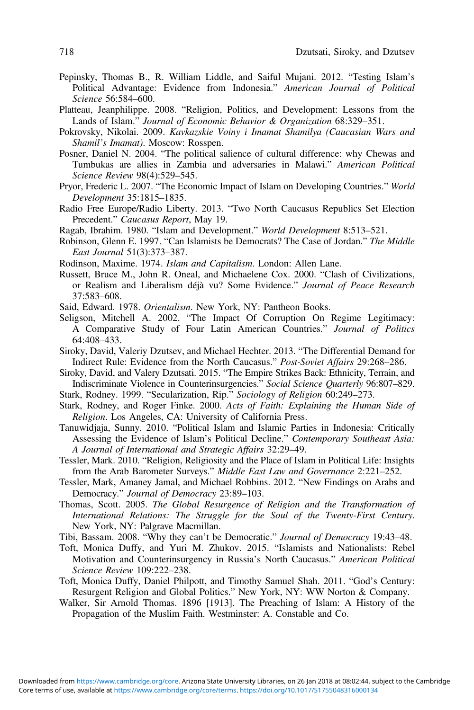- <span id="page-23-0"></span>Pepinsky, Thomas B., R. William Liddle, and Saiful Mujani. 2012. "Testing Islam's Political Advantage: Evidence from Indonesia." American Journal of Political Science 56:584–600.
- Platteau, Jeanphilippe. 2008. "Religion, Politics, and Development: Lessons from the Lands of Islam." Journal of Economic Behavior & Organization 68:329–351.
- Pokrovsky, Nikolai. 2009. Kavkazskie Voiny i Imamat Shamilya (Caucasian Wars and Shamil's Imamat). Moscow: Rosspen.
- Posner, Daniel N. 2004. "The political salience of cultural difference: why Chewas and Tumbukas are allies in Zambia and adversaries in Malawi." American Political Science Review 98(4):529–545.
- Pryor, Frederic L. 2007. "The Economic Impact of Islam on Developing Countries." World Development 35:1815–1835.
- Radio Free Europe/Radio Liberty. 2013. "Two North Caucasus Republics Set Election Precedent." Caucasus Report, May 19.
- Ragab, Ibrahim. 1980. "Islam and Development." World Development 8:513–521.
- Robinson, Glenn E. 1997. "Can Islamists be Democrats? The Case of Jordan." The Middle East Journal 51(3):373–387.
- Rodinson, Maxime. 1974. Islam and Capitalism. London: Allen Lane.
- Russett, Bruce M., John R. Oneal, and Michaelene Cox. 2000. "Clash of Civilizations, or Realism and Liberalism déjà vu? Some Evidence." Journal of Peace Research 37:583–608.
- Said, Edward. 1978. Orientalism. New York, NY: Pantheon Books.
- Seligson, Mitchell A. 2002. "The Impact Of Corruption On Regime Legitimacy: A Comparative Study of Four Latin American Countries." Journal of Politics 64:408–433.
- Siroky, David, Valeriy Dzutsev, and Michael Hechter. 2013. "The Differential Demand for Indirect Rule: Evidence from the North Caucasus." Post-Soviet Affairs 29:268–286.
- Siroky, David, and Valery Dzutsati. 2015. "The Empire Strikes Back: Ethnicity, Terrain, and Indiscriminate Violence in Counterinsurgencies." Social Science Quarterly 96:807–829.
- Stark, Rodney. 1999. "Secularization, Rip." Sociology of Religion 60:249–273.
- Stark, Rodney, and Roger Finke. 2000. Acts of Faith: Explaining the Human Side of Religion. Los Angeles, CA: University of California Press.
- Tanuwidjaja, Sunny. 2010. "Political Islam and Islamic Parties in Indonesia: Critically Assessing the Evidence of Islam's Political Decline." Contemporary Southeast Asia: A Journal of International and Strategic Affairs 32:29–49.
- Tessler, Mark. 2010. "Religion, Religiosity and the Place of Islam in Political Life: Insights from the Arab Barometer Surveys." Middle East Law and Governance 2:221-252.
- Tessler, Mark, Amaney Jamal, and Michael Robbins. 2012. "New Findings on Arabs and Democracy." Journal of Democracy 23:89–103.
- Thomas, Scott. 2005. The Global Resurgence of Religion and the Transformation of International Relations: The Struggle for the Soul of the Twenty-First Century. New York, NY: Palgrave Macmillan.
- Tibi, Bassam. 2008. "Why they can't be Democratic." Journal of Democracy 19:43–48.
- Toft, Monica Duffy, and Yuri M. Zhukov. 2015. "Islamists and Nationalists: Rebel Motivation and Counterinsurgency in Russia's North Caucasus." American Political Science Review 109:222–238.
- Toft, Monica Duffy, Daniel Philpott, and Timothy Samuel Shah. 2011. "God's Century: Resurgent Religion and Global Politics." New York, NY: WW Norton & Company.
- Walker, Sir Arnold Thomas. 1896 [1913]. The Preaching of Islam: A History of the Propagation of the Muslim Faith. Westminster: A. Constable and Co.